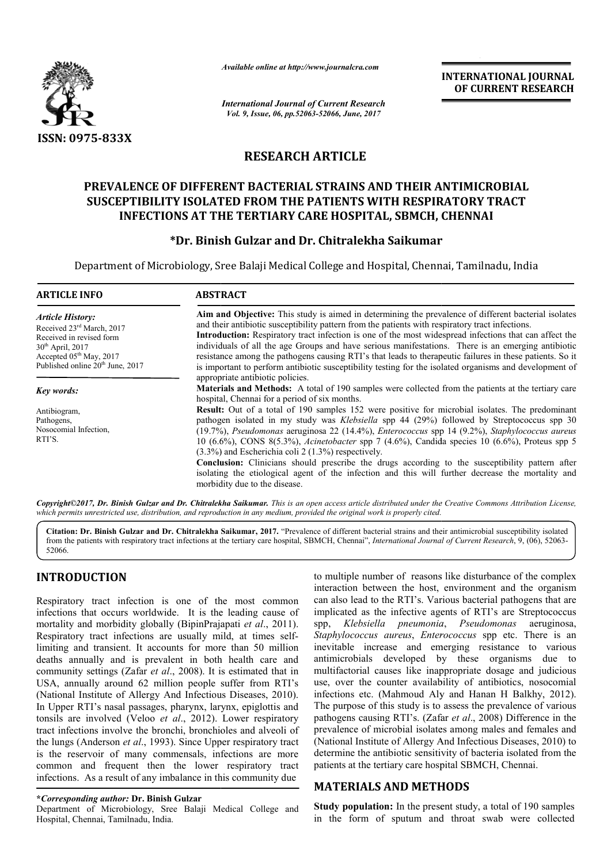

*Available online at http://www.journalcra.com*

# **RESEARCH ARTICLE**

## **PREVALENCE OF DIFFERENT BACTERIAL STRAINS AND THEIR ANTIMICROBIAL PREVALENCE OF SUSCEPTIBILITY ISOLATED FROM THE PATIENTS WITH RESPIRATORY TRACT INFECTIONS AT TH THE TERTIARY CARE HOSPITAL, SBMCH, CHENNAI**

## **\*Dr. Binish Gulzar and Dr. Chitralekha Saikumar**

|                                                                                                                                                                                                                                                                                                                                                                                                                                                                                                                                                                                                                                                                                                                                                                                                                                                                                                                                                                                                                                                                                | лтините опине игнир.//www.journuicra.com                                                                                                                                                                                                                                                                                                                                                                                                                                                                                                                                                                                                                                                                                                                                                                                                                                                      |                                                                                                                               | <b>INTERNATIONAL JOURNAL</b><br>OF CURRENT RESEARCH                                                                                                                                                                                                                                                                                                                                                                                                                                                                                                                                                                                                                                                                                                                                                                                                                                                                                                                                                                                                                                                         |  |  |
|--------------------------------------------------------------------------------------------------------------------------------------------------------------------------------------------------------------------------------------------------------------------------------------------------------------------------------------------------------------------------------------------------------------------------------------------------------------------------------------------------------------------------------------------------------------------------------------------------------------------------------------------------------------------------------------------------------------------------------------------------------------------------------------------------------------------------------------------------------------------------------------------------------------------------------------------------------------------------------------------------------------------------------------------------------------------------------|-----------------------------------------------------------------------------------------------------------------------------------------------------------------------------------------------------------------------------------------------------------------------------------------------------------------------------------------------------------------------------------------------------------------------------------------------------------------------------------------------------------------------------------------------------------------------------------------------------------------------------------------------------------------------------------------------------------------------------------------------------------------------------------------------------------------------------------------------------------------------------------------------|-------------------------------------------------------------------------------------------------------------------------------|-------------------------------------------------------------------------------------------------------------------------------------------------------------------------------------------------------------------------------------------------------------------------------------------------------------------------------------------------------------------------------------------------------------------------------------------------------------------------------------------------------------------------------------------------------------------------------------------------------------------------------------------------------------------------------------------------------------------------------------------------------------------------------------------------------------------------------------------------------------------------------------------------------------------------------------------------------------------------------------------------------------------------------------------------------------------------------------------------------------|--|--|
|                                                                                                                                                                                                                                                                                                                                                                                                                                                                                                                                                                                                                                                                                                                                                                                                                                                                                                                                                                                                                                                                                | <b>International Journal of Current Research</b><br>Vol. 9, Issue, 06, pp.52063-52066, June, 2017                                                                                                                                                                                                                                                                                                                                                                                                                                                                                                                                                                                                                                                                                                                                                                                             |                                                                                                                               |                                                                                                                                                                                                                                                                                                                                                                                                                                                                                                                                                                                                                                                                                                                                                                                                                                                                                                                                                                                                                                                                                                             |  |  |
| <b>ISSN: 0975-833X</b>                                                                                                                                                                                                                                                                                                                                                                                                                                                                                                                                                                                                                                                                                                                                                                                                                                                                                                                                                                                                                                                         |                                                                                                                                                                                                                                                                                                                                                                                                                                                                                                                                                                                                                                                                                                                                                                                                                                                                                               |                                                                                                                               |                                                                                                                                                                                                                                                                                                                                                                                                                                                                                                                                                                                                                                                                                                                                                                                                                                                                                                                                                                                                                                                                                                             |  |  |
|                                                                                                                                                                                                                                                                                                                                                                                                                                                                                                                                                                                                                                                                                                                                                                                                                                                                                                                                                                                                                                                                                | <b>RESEARCH ARTICLE</b>                                                                                                                                                                                                                                                                                                                                                                                                                                                                                                                                                                                                                                                                                                                                                                                                                                                                       |                                                                                                                               |                                                                                                                                                                                                                                                                                                                                                                                                                                                                                                                                                                                                                                                                                                                                                                                                                                                                                                                                                                                                                                                                                                             |  |  |
|                                                                                                                                                                                                                                                                                                                                                                                                                                                                                                                                                                                                                                                                                                                                                                                                                                                                                                                                                                                                                                                                                | PREVALENCE OF DIFFERENT BACTERIAL STRAINS AND THEIR ANTIMICROBIAL<br>SUSCEPTIBILITY ISOLATED FROM THE PATIENTS WITH RESPIRATORY TRACT<br><b>INFECTIONS AT THE TERTIARY CARE HOSPITAL, SBMCH, CHENNAI</b><br>*Dr. Binish Gulzar and Dr. Chitralekha Saikumar                                                                                                                                                                                                                                                                                                                                                                                                                                                                                                                                                                                                                                   |                                                                                                                               |                                                                                                                                                                                                                                                                                                                                                                                                                                                                                                                                                                                                                                                                                                                                                                                                                                                                                                                                                                                                                                                                                                             |  |  |
|                                                                                                                                                                                                                                                                                                                                                                                                                                                                                                                                                                                                                                                                                                                                                                                                                                                                                                                                                                                                                                                                                | Department of Microbiology, Sree Balaji Medical College and Hospital, Chennai, Tamilnadu, India                                                                                                                                                                                                                                                                                                                                                                                                                                                                                                                                                                                                                                                                                                                                                                                               |                                                                                                                               |                                                                                                                                                                                                                                                                                                                                                                                                                                                                                                                                                                                                                                                                                                                                                                                                                                                                                                                                                                                                                                                                                                             |  |  |
| <b>ARTICLE INFO</b>                                                                                                                                                                                                                                                                                                                                                                                                                                                                                                                                                                                                                                                                                                                                                                                                                                                                                                                                                                                                                                                            | <b>ABSTRACT</b>                                                                                                                                                                                                                                                                                                                                                                                                                                                                                                                                                                                                                                                                                                                                                                                                                                                                               |                                                                                                                               |                                                                                                                                                                                                                                                                                                                                                                                                                                                                                                                                                                                                                                                                                                                                                                                                                                                                                                                                                                                                                                                                                                             |  |  |
| <b>Article History:</b><br>Received 23rd March, 2017<br>Received in revised form<br>30 <sup>th</sup> April, 2017<br>Accepted 05 <sup>th</sup> May, 2017<br>Published online 20 <sup>th</sup> June, 2017                                                                                                                                                                                                                                                                                                                                                                                                                                                                                                                                                                                                                                                                                                                                                                                                                                                                        | Aim and Objective: This study is aimed in determining the prevalence of different bacterial isolates<br>and their antibiotic susceptibility pattern from the patients with respiratory tract infections.<br>Introduction: Respiratory tract infection is one of the most widespread infections that can affect the<br>individuals of all the age Groups and have serious manifestations. There is an emerging antibiotic<br>resistance among the pathogens causing RTI's that leads to therapeutic failures in these patients. So it<br>is important to perform antibiotic susceptibility testing for the isolated organisms and development of                                                                                                                                                                                                                                               |                                                                                                                               |                                                                                                                                                                                                                                                                                                                                                                                                                                                                                                                                                                                                                                                                                                                                                                                                                                                                                                                                                                                                                                                                                                             |  |  |
| <b>Key words:</b><br>Antibiogram,<br>Pathogens,<br>Nosocomial Infection,<br>RTI'S.                                                                                                                                                                                                                                                                                                                                                                                                                                                                                                                                                                                                                                                                                                                                                                                                                                                                                                                                                                                             | appropriate antibiotic policies.<br>Materials and Methods: A total of 190 samples were collected from the patients at the tertiary care<br>hospital, Chennai for a period of six months.<br>Result: Out of a total of 190 samples 152 were positive for microbial isolates. The predominant<br>pathogen isolated in my study was Klebsiella spp 44 (29%) followed by Streptococcus spp 30<br>(19.7%), Pseudomonas aeruginosa 22 (14.4%), Enterococcus spp 14 (9.2%), Staphylococcus aureus<br>10 (6.6%), CONS 8(5.3%), Acinetobacter spp 7 (4.6%), Candida species 10 (6.6%), Proteus spp 5<br>$(3.3\%)$ and Escherichia coli 2 (1.3%) respectively.<br>Conclusion: Clinicians should prescribe the drugs according to the susceptibility pattern after<br>isolating the etiological agent of the infection and this will further decrease the mortality and<br>morbidity due to the disease. |                                                                                                                               |                                                                                                                                                                                                                                                                                                                                                                                                                                                                                                                                                                                                                                                                                                                                                                                                                                                                                                                                                                                                                                                                                                             |  |  |
|                                                                                                                                                                                                                                                                                                                                                                                                                                                                                                                                                                                                                                                                                                                                                                                                                                                                                                                                                                                                                                                                                | which permits unrestricted use, distribution, and reproduction in any medium, provided the original work is properly cited.                                                                                                                                                                                                                                                                                                                                                                                                                                                                                                                                                                                                                                                                                                                                                                   |                                                                                                                               | Copyright©2017, Dr. Binish Gulzar and Dr. Chitralekha Saikumar. This is an open access article distributed under the Creative Commons Attribution License,                                                                                                                                                                                                                                                                                                                                                                                                                                                                                                                                                                                                                                                                                                                                                                                                                                                                                                                                                  |  |  |
| 52066.                                                                                                                                                                                                                                                                                                                                                                                                                                                                                                                                                                                                                                                                                                                                                                                                                                                                                                                                                                                                                                                                         |                                                                                                                                                                                                                                                                                                                                                                                                                                                                                                                                                                                                                                                                                                                                                                                                                                                                                               |                                                                                                                               | Citation: Dr. Binish Gulzar and Dr. Chitralekha Saikumar, 2017. "Prevalence of different bacterial strains and their antimicrobial susceptibility isolated<br>from the patients with respiratory tract infections at the tertiary care hospital, SBMCH, Chennai", International Journal of Current Research, 9, (06), 52063-                                                                                                                                                                                                                                                                                                                                                                                                                                                                                                                                                                                                                                                                                                                                                                                |  |  |
| <b>INTRODUCTION</b><br>Respiratory tract infection is one of the most common<br>infections that occurs worldwide. It is the leading cause of<br>mortality and morbidity globally (BipinPrajapati et al., 2011).<br>Respiratory tract infections are usually mild, at times self-<br>limiting and transient. It accounts for more than 50 million<br>deaths annually and is prevalent in both health care and<br>community settings (Zafar et al., 2008). It is estimated that in<br>USA, annually around 62 million people suffer from RTI's<br>(National Institute of Allergy And Infectious Diseases, 2010).<br>In Upper RTI's nasal passages, pharynx, larynx, epiglottis and<br>tonsils are involved (Veloo et al., 2012). Lower respiratory<br>tract infections involve the bronchi, bronchioles and alveoli of<br>the lungs (Anderson et al., 1993). Since Upper respiratory tract<br>is the reservoir of many commensals, infections are more<br>common and frequent then the lower respiratory tract<br>infections. As a result of any imbalance in this community due |                                                                                                                                                                                                                                                                                                                                                                                                                                                                                                                                                                                                                                                                                                                                                                                                                                                                                               | spp,<br><b>MATERIALS AND METHODS</b>                                                                                          | to multiple number of reasons like disturbance of the complex<br>interaction between the host, environment and the organism<br>can also lead to the RTI's. Various bacterial pathogens that are<br>implicated as the infective agents of RTI's are Streptococcus<br>Klebsiella pneumonia, Pseudomonas<br>aeruginosa,<br>Staphylococcus aureus, Enterococcus spp etc. There is an<br>inevitable increase and emerging resistance to various<br>antimicrobials developed by these organisms<br>due to<br>multifactorial causes like inappropriate dosage and judicious<br>use, over the counter availability of antibiotics, nosocomial<br>infections etc. (Mahmoud Aly and Hanan H Balkhy, 2012).<br>The purpose of this study is to assess the prevalence of various<br>pathogens causing RTI's. (Zafar et al., 2008) Difference in the<br>prevalence of microbial isolates among males and females and<br>(National Institute of Allergy And Infectious Diseases, 2010) to<br>determine the antibiotic sensitivity of bacteria isolated from the<br>patients at the tertiary care hospital SBMCH, Chennai. |  |  |
| *Corresponding author: Dr. Binish Gulzar<br>Department of Microbiology, Sree Balaji Medical College and<br>Hospital, Chennai, Tamilnadu, India.                                                                                                                                                                                                                                                                                                                                                                                                                                                                                                                                                                                                                                                                                                                                                                                                                                                                                                                                |                                                                                                                                                                                                                                                                                                                                                                                                                                                                                                                                                                                                                                                                                                                                                                                                                                                                                               | <b>Study population:</b> In the present study, a total of 190 samples<br>in the form of sputum and throat swab were collected |                                                                                                                                                                                                                                                                                                                                                                                                                                                                                                                                                                                                                                                                                                                                                                                                                                                                                                                                                                                                                                                                                                             |  |  |

## **INTRODUCTION**

### **\****Corresponding author:* **Dr. Binish Gulzar**

## **MATERIALS AND METHODS**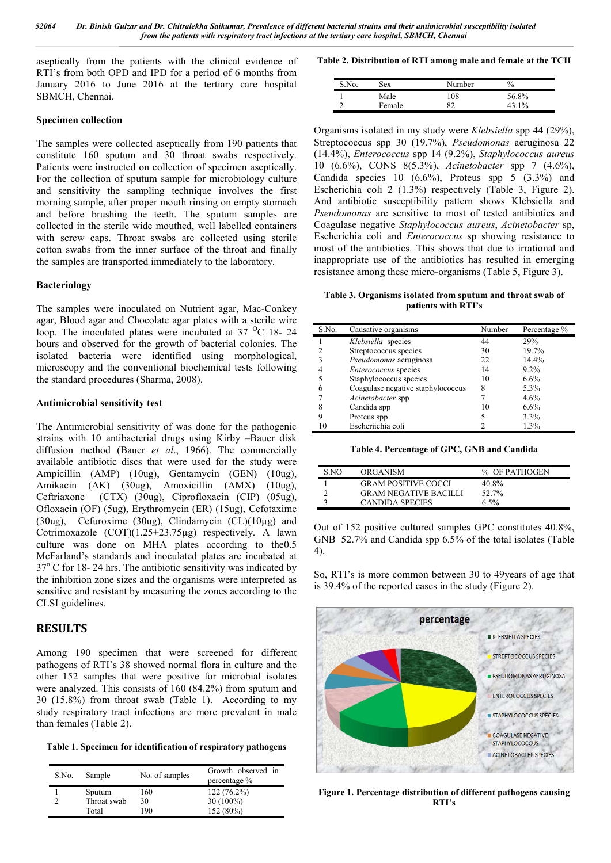aseptically from the patients with the clinical evidence of RTI's from both OPD and IPD for a period of 6 months from January 2016 to June 2016 at the tertiary care hospital SBMCH, Chennai.

#### **Specimen collection**

The samples were collected aseptically from 190 patients that constitute 160 sputum and 30 throat swabs respectively. Patients were instructed on collection of specimen aseptically. For the collection of sputum sample for microbiology culture and sensitivity the sampling technique involves the first morning sample, after proper mouth rinsing on empty stomach and before brushing the teeth. The sputum samples are collected in the sterile wide mouthed, well labelled containers with screw caps. Throat swabs are collected using sterile cotton swabs from the inner surface of the throat and finally the samples are transported immediately to the laboratory.

#### **Bacteriology**

The samples were inoculated on Nutrient agar, Mac-Conkey agar, Blood agar and Chocolate agar plates with a sterile wire loop. The inoculated plates were incubated at  $37\text{ °C}$  18- 24 hours and observed for the growth of bacterial colonies. The isolated bacteria were identified using morphological, microscopy and the conventional biochemical tests following the standard procedures (Sharma, 2008).

#### **Antimicrobial sensitivity test**

The Antimicrobial sensitivity of was done for the pathogenic strains with 10 antibacterial drugs using Kirby –Bauer disk diffusion method (Bauer *et al*., 1966). The commercially available antibiotic discs that were used for the study were Ampicillin (AMP) (10ug), Gentamycin (GEN) (10ug), Amikacin (AK) (30ug), Amoxicillin (AMX) (10ug), Ceftriaxone (CTX) (30ug), Ciprofloxacin (CIP) (05ug), Ofloxacin (OF) (5ug), Erythromycin (ER) (15ug), Cefotaxime (30ug), Cefuroxime (30ug), Clindamycin (CL)(10µg) and Cotrimoxazole (COT)(1.25+23.75µg) respectively. A lawn culture was done on MHA plates according to the0.5 McFarland's standards and inoculated plates are incubated at  $37^{\circ}$  C for 18-24 hrs. The antibiotic sensitivity was indicated by the inhibition zone sizes and the organisms were interpreted as sensitive and resistant by measuring the zones according to the CLSI guidelines.

### **RESULTS**

Among 190 specimen that were screened for different pathogens of RTI's 38 showed normal flora in culture and the other 152 samples that were positive for microbial isolates were analyzed. This consists of 160 (84.2%) from sputum and 30 (15.8%) from throat swab (Table 1). According to my study respiratory tract infections are more prevalent in male than females (Table 2).

**Table 1. Specimen for identification of respiratory pathogens**

| S.No. | Sample      | No. of samples | Growth observed in<br>percentage % |  |  |  |
|-------|-------------|----------------|------------------------------------|--|--|--|
|       | Sputum      | 160            | $122(76.2\%)$                      |  |  |  |
| ↑     | Throat swab | 30             | $30(100\%)$                        |  |  |  |
|       | Total       | 190            | 152 (80%)                          |  |  |  |

**Table 2. Distribution of RTI among male and female at the TCH**

| S.No. | sex    | Number   | $\%$  |
|-------|--------|----------|-------|
|       | Male   | 108      | 56.8% |
|       | Female | o٦<br>∍∠ | 10/   |

Organisms isolated in my study were *Klebsiella* spp 44 (29%), Streptococcus spp 30 (19.7%), *Pseudomonas* aeruginosa 22 (14.4%), *Enterococcus* spp 14 (9.2%), *Staphylococcus aureus* 10 (6.6%), CONS 8(5.3%), *Acinetobacter* spp 7 (4.6%), Candida species 10  $(6.6\%)$ , Proteus spp  $5(3.3\%)$  and Escherichia coli 2 (1.3%) respectively (Table 3, Figure 2). And antibiotic susceptibility pattern shows Klebsiella and *Pseudomonas* are sensitive to most of tested antibiotics and Coagulase negative *Staphylococcus aureus*, *Acinetobacter* sp, Escherichia coli and *Enterococcus* sp showing resistance to most of the antibiotics. This shows that due to irrational and inappropriate use of the antibiotics has resulted in emerging resistance among these micro-organisms (Table 5, Figure 3).

**Table 3. Organisms isolated from sputum and throat swab of patients with RTI's**

| S.No. | Causative organisms               | Number | Percentage % |
|-------|-----------------------------------|--------|--------------|
|       | Klebsiella species                | 44     | 29%          |
|       | Streptococcus species             | 30     | 19.7%        |
| 3     | Pseudomonas aeruginosa            | 22     | 14.4%        |
|       | <i>Enterococcus</i> species       | 14     | $9.2\%$      |
|       | Staphylococcus species            | 10     | $6.6\%$      |
| 6     | Coagulase negative staphylococcus | 8      | 5.3%         |
|       | Acinetobacter spp                 |        | $4.6\%$      |
| 8     | Candida spp                       | 10     | $6.6\%$      |
| 9     | Proteus spp                       |        | 3.3%         |
|       | Escheriichia coli                 |        | 1.3%         |

**Table 4. Percentage of GPC, GNB and Candida**

| S NO | ORGANISM                     | % OF PATHOGEN |
|------|------------------------------|---------------|
|      | <b>GRAM POSITIVE COCCI</b>   | 40.8%         |
|      | <b>GRAM NEGATIVE BACILLI</b> | 52.7%         |
|      | <b>CANDIDA SPECIES</b>       | $6.5\%$       |

Out of 152 positive cultured samples GPC constitutes 40.8%, GNB 52.7% and Candida spp 6.5% of the total isolates (Table 4).

So, RTI's is more common between 30 to 49years of age that is 39.4% of the reported cases in the study (Figure 2).



**Figure 1. Percentage distribution of different pathogens causing RTI's**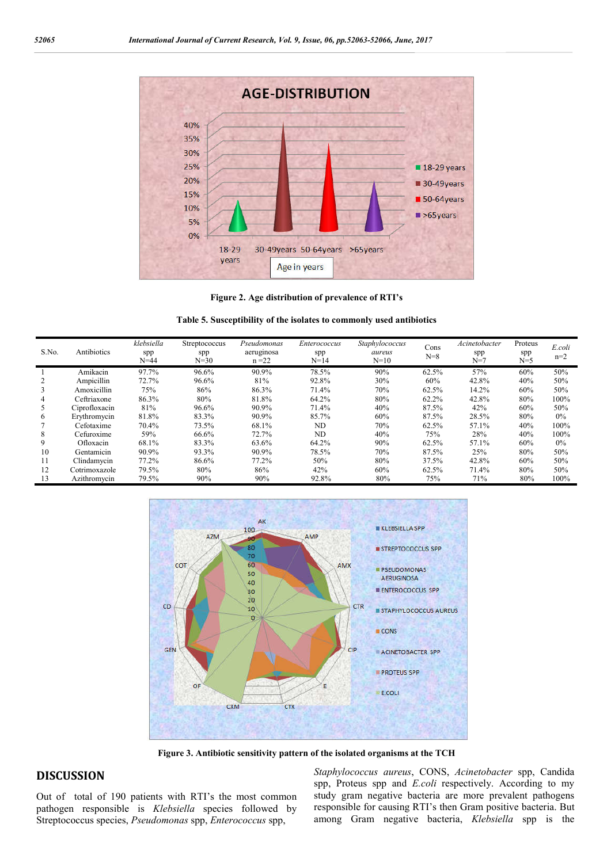

**Figure 2. Age distribution of prevalence of RTI's**

| Table 5. Susceptibility of the isolates to commonly used antibiotics |
|----------------------------------------------------------------------|
|----------------------------------------------------------------------|

| S.No. | Antibiotics   | klebsiella<br>spp<br>$N = 44$ | Streptococcus<br>spp<br>$N = 30$ | Pseudomonas<br>aeruginosa<br>$n = 22$ | Enterococcus<br>spp<br>$N=14$ | Staphylococcus<br>aureus<br>$N=10$ | Cons<br>$N=8$ | Acinetobacter<br>spp<br>$N=7$ | Proteus<br>spp<br>$N=5$ | E.coli<br>$n=2$ |
|-------|---------------|-------------------------------|----------------------------------|---------------------------------------|-------------------------------|------------------------------------|---------------|-------------------------------|-------------------------|-----------------|
|       | Amikacin      | 97.7%                         | 96.6%                            | 90.9%                                 | 78.5%                         | 90%                                | 62.5%         | 57%                           | 60%                     | 50%             |
|       | Ampicillin    | 72.7%                         | 96.6%                            | 81%                                   | 92.8%                         | 30%                                | 60%           | 42.8%                         | 40%                     | 50%             |
|       | Amoxicillin   | 75%                           | 86%                              | 86.3%                                 | 71.4%                         | 70%                                | 62.5%         | 14.2%                         | 60%                     | 50%             |
|       | Ceftriaxone   | 86.3%                         | 80%                              | 81.8%                                 | 64.2%                         | 80%                                | 62.2%         | 42.8%                         | 80%                     | 100%            |
|       | Ciprofloxacin | 81%                           | 96.6%                            | 90.9%                                 | 71.4%                         | 40%                                | 87.5%         | 42%                           | 60%                     | 50%             |
| 6     | Erythromycin  | 81.8%                         | 83.3%                            | 90.9%                                 | 85.7%                         | 60%                                | 87.5%         | 28.5%                         | 80%                     | $0\%$           |
|       | Cefotaxime    | 70.4%                         | 73.5%                            | 68.1%                                 | ND                            | 70%                                | 62.5%         | 57.1%                         | 40%                     | 100%            |
| 8     | Cefuroxime    | 59%                           | 66.6%                            | 72.7%                                 | ND                            | 40%                                | 75%           | 28%                           | 40%                     | 100%            |
|       | Ofloxacin     | 68.1%                         | 83.3%                            | 63.6%                                 | 64.2%                         | 90%                                | 62.5%         | 57.1%                         | 60%                     | $0\%$           |
| 10    | Gentamicin    | 90.9%                         | 93.3%                            | 90.9%                                 | 78.5%                         | 70%                                | 87.5%         | 25%                           | 80%                     | 50%             |
|       | Clindamycin   | 77.2%                         | 86.6%                            | 77.2%                                 | 50%                           | 80%                                | 37.5%         | 42.8%                         | 60%                     | 50%             |
| 12    | Cotrimoxazole | 79.5%                         | 80%                              | 86%                                   | 42%                           | 60%                                | 62.5%         | 71.4%                         | 80%                     | 50%             |
| 13    | Azithromycin  | 79.5%                         | 90%                              | 90%                                   | 92.8%                         | 80%                                | 75%           | 71%                           | 80%                     | 100%            |



**Figure 3. Antibiotic sensitivity pattern of the isolated organisms at the TCH**

### **DISCUSSION**

Out of total of 190 patients with RTI's the most common pathogen responsible is *Klebsiella* species followed by Streptococcus species, *Pseudomonas* spp, *Enterococcus* spp,

*Staphylococcus aureus*, CONS, *Acinetobacter* spp, Candida spp, Proteus spp and *E.coli* respectively. According to my study gram negative bacteria are more prevalent pathogens responsible for causing RTI's then Gram positive bacteria. But among Gram negative bacteria, *Klebsiella* spp is the